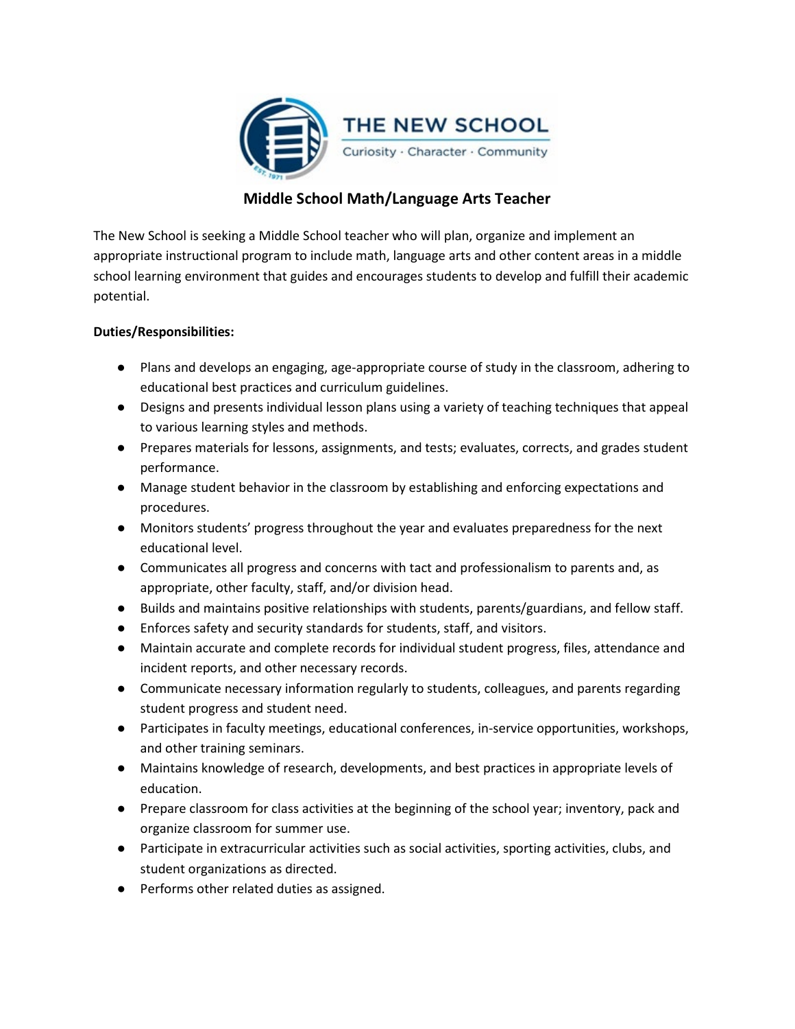

# **Middle School Math/Language Arts Teacher**

The New School is seeking a Middle School teacher who will plan, organize and implement an appropriate instructional program to include math, language arts and other content areas in a middle school learning environment that guides and encourages students to develop and fulfill their academic potential.

# **Duties/Responsibilities:**

- Plans and develops an engaging, age-appropriate course of study in the classroom, adhering to educational best practices and curriculum guidelines.
- Designs and presents individual lesson plans using a variety of teaching techniques that appeal to various learning styles and methods.
- Prepares materials for lessons, assignments, and tests; evaluates, corrects, and grades student performance.
- Manage student behavior in the classroom by establishing and enforcing expectations and procedures.
- Monitors students' progress throughout the year and evaluates preparedness for the next educational level.
- Communicates all progress and concerns with tact and professionalism to parents and, as appropriate, other faculty, staff, and/or division head.
- Builds and maintains positive relationships with students, parents/guardians, and fellow staff.
- Enforces safety and security standards for students, staff, and visitors.
- Maintain accurate and complete records for individual student progress, files, attendance and incident reports, and other necessary records.
- Communicate necessary information regularly to students, colleagues, and parents regarding student progress and student need.
- Participates in faculty meetings, educational conferences, in-service opportunities, workshops, and other training seminars.
- Maintains knowledge of research, developments, and best practices in appropriate levels of education.
- Prepare classroom for class activities at the beginning of the school year; inventory, pack and organize classroom for summer use.
- Participate in extracurricular activities such as social activities, sporting activities, clubs, and student organizations as directed.
- Performs other related duties as assigned.